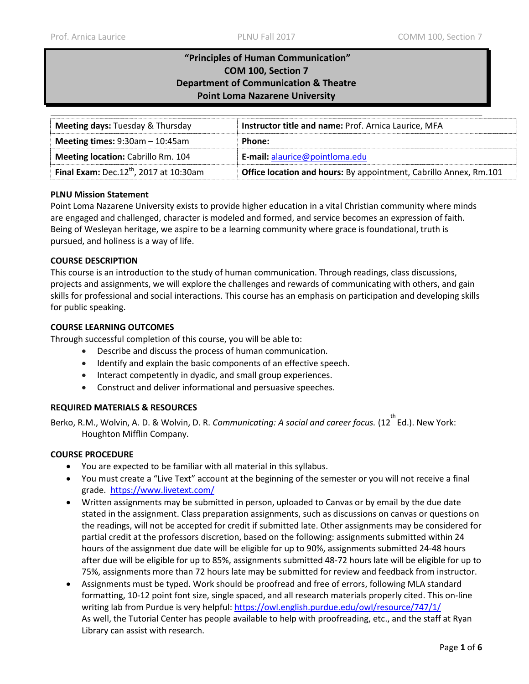# **"Principles of Human Communication" COM 100, Section 7 Department of Communication & Theatre Point Loma Nazarene University**

| <b>Meeting days: Tuesday &amp; Thursday</b>        | Instructor title and name: Prof. Arnica Laurice, MFA              |
|----------------------------------------------------|-------------------------------------------------------------------|
| Meeting times: $9:30$ am $-10:45$ am               | Phone:                                                            |
| <b>Meeting location: Cabrillo Rm. 104</b>          | E-mail: alaurice@pointloma.edu                                    |
| Final Exam: Dec.12 <sup>th</sup> , 2017 at 10:30am | Office location and hours: By appointment, Cabrillo Annex, Rm.101 |

## **PLNU Mission Statement**

Point Loma Nazarene University exists to provide higher education in a vital Christian community where minds are engaged and challenged, character is modeled and formed, and service becomes an expression of faith. Being of Wesleyan heritage, we aspire to be a learning community where grace is foundational, truth is pursued, and holiness is a way of life.

## **COURSE DESCRIPTION**

This course is an introduction to the study of human communication. Through readings, class discussions, projects and assignments, we will explore the challenges and rewards of communicating with others, and gain skills for professional and social interactions. This course has an emphasis on participation and developing skills for public speaking.

## **COURSE LEARNING OUTCOMES**

Through successful completion of this course, you will be able to:

- Describe and discuss the process of human communication.
- Identify and explain the basic components of an effective speech.
- Interact competently in dyadic, and small group experiences.
- Construct and deliver informational and persuasive speeches.

## **REQUIRED MATERIALS & RESOURCES**

Berko, R.M., Wolvin, A. D. & Wolvin, D. R. *Communicating: A social and career focus.* (12<sup>th</sup> Ed.). New York: Houghton Mifflin Company.

## **COURSE PROCEDURE**

- You are expected to be familiar with all material in this syllabus.
- You must create a "Live Text" account at the beginning of the semester or you will not receive a final grade. <https://www.livetext.com/>
- Written assignments may be submitted in person, uploaded to Canvas or by email by the due date stated in the assignment. Class preparation assignments, such as discussions on canvas or questions on the readings, will not be accepted for credit if submitted late. Other assignments may be considered for partial credit at the professors discretion, based on the following: assignments submitted within 24 hours of the assignment due date will be eligible for up to 90%, assignments submitted 24-48 hours after due will be eligible for up to 85%, assignments submitted 48-72 hours late will be eligible for up to 75%, assignments more than 72 hours late may be submitted for review and feedback from instructor.
- Assignments must be typed. Work should be proofread and free of errors, following MLA standard formatting, 10-12 point font size, single spaced, and all research materials properly cited. This on-line writing lab from Purdue is very helpful: https://owl.english.purdue.edu/owl/resource/747/1/ As well, the Tutorial Center has people available to help with proofreading, etc., and the staff at Ryan Library can assist with research.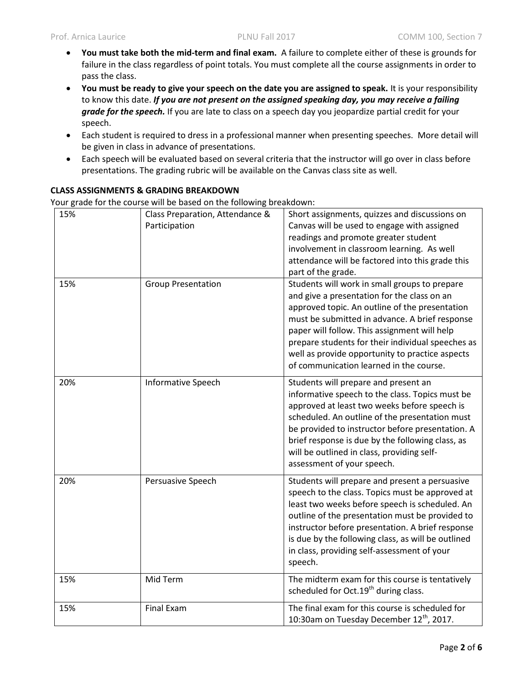- **You must take both the mid-term and final exam.** A failure to complete either of these is grounds for failure in the class regardless of point totals. You must complete all the course assignments in order to pass the class.
- **You must be ready to give your speech on the date you are assigned to speak.** It is your responsibility to know this date. *If you are not present on the assigned speaking day, you may receive a failing grade for the speech.* If you are late to class on a speech day you jeopardize partial credit for your speech.
- Each student is required to dress in a professional manner when presenting speeches. More detail will be given in class in advance of presentations.
- Each speech will be evaluated based on several criteria that the instructor will go over in class before presentations. The grading rubric will be available on the Canvas class site as well.

## **CLASS ASSIGNMENTS & GRADING BREAKDOWN**

Your grade for the course will be based on the following breakdown:

| 15% | Class Preparation, Attendance &<br>Participation | Short assignments, quizzes and discussions on<br>Canvas will be used to engage with assigned<br>readings and promote greater student<br>involvement in classroom learning. As well<br>attendance will be factored into this grade this<br>part of the grade.                                                                                                                                        |  |
|-----|--------------------------------------------------|-----------------------------------------------------------------------------------------------------------------------------------------------------------------------------------------------------------------------------------------------------------------------------------------------------------------------------------------------------------------------------------------------------|--|
| 15% | <b>Group Presentation</b>                        | Students will work in small groups to prepare<br>and give a presentation for the class on an<br>approved topic. An outline of the presentation<br>must be submitted in advance. A brief response<br>paper will follow. This assignment will help<br>prepare students for their individual speeches as<br>well as provide opportunity to practice aspects<br>of communication learned in the course. |  |
| 20% | Informative Speech                               | Students will prepare and present an<br>informative speech to the class. Topics must be<br>approved at least two weeks before speech is<br>scheduled. An outline of the presentation must<br>be provided to instructor before presentation. A<br>brief response is due by the following class, as<br>will be outlined in class, providing self-<br>assessment of your speech.                       |  |
| 20% | Persuasive Speech                                | Students will prepare and present a persuasive<br>speech to the class. Topics must be approved at<br>least two weeks before speech is scheduled. An<br>outline of the presentation must be provided to<br>instructor before presentation. A brief response<br>is due by the following class, as will be outlined<br>in class, providing self-assessment of your<br>speech.                          |  |
| 15% | Mid Term                                         | The midterm exam for this course is tentatively<br>scheduled for Oct.19 <sup>th</sup> during class.                                                                                                                                                                                                                                                                                                 |  |
| 15% | <b>Final Exam</b>                                | The final exam for this course is scheduled for<br>10:30am on Tuesday December 12 <sup>th</sup> , 2017.                                                                                                                                                                                                                                                                                             |  |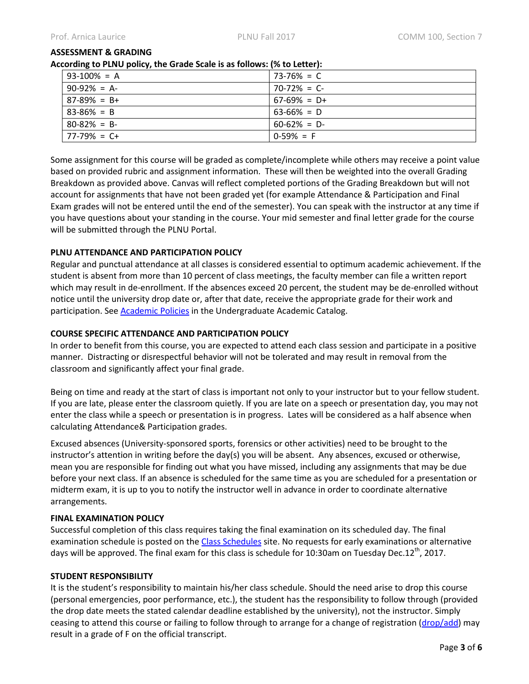#### **ASSESSMENT & GRADING**

#### **According to PLNU policy, the Grade Scale is as follows: (% to Letter):**

| $93-100\% = A$  | $73-76\% = C$   |
|-----------------|-----------------|
| $90-92\% = A$   | $70-72\% = C$   |
| $87-89\% = B+$  | $67-69\% = D+$  |
| $83 - 86\% = B$ | $63-66\% = D$   |
| $80 - 82\% = B$ | $60 - 62\% = D$ |
| $77-79\% = C+$  | $0-59\% = F$    |

Some assignment for this course will be graded as complete/incomplete while others may receive a point value based on provided rubric and assignment information. These will then be weighted into the overall Grading Breakdown as provided above. Canvas will reflect completed portions of the Grading Breakdown but will not account for assignments that have not been graded yet (for example Attendance & Participation and Final Exam grades will not be entered until the end of the semester). You can speak with the instructor at any time if you have questions about your standing in the course. Your mid semester and final letter grade for the course will be submitted through the PLNU Portal.

## **PLNU ATTENDANCE AND PARTICIPATION POLICY**

Regular and punctual attendance at all classes is considered essential to optimum academic achievement. If the student is absent from more than 10 percent of class meetings, the faculty member can file a written report which may result in de-enrollment. If the absences exceed 20 percent, the student may be de-enrolled without notice until the university drop date or, after that date, receive the appropriate grade for their work and participation. Se[e Academic Policies](http://catalog.pointloma.edu/content.php?catoid=18&navoid=1278) in the Undergraduate Academic Catalog.

#### **COURSE SPECIFIC ATTENDANCE AND PARTICIPATION POLICY**

In order to benefit from this course, you are expected to attend each class session and participate in a positive manner. Distracting or disrespectful behavior will not be tolerated and may result in removal from the classroom and significantly affect your final grade.

Being on time and ready at the start of class is important not only to your instructor but to your fellow student. If you are late, please enter the classroom quietly. If you are late on a speech or presentation day, you may not enter the class while a speech or presentation is in progress. Lates will be considered as a half absence when calculating Attendance& Participation grades.

Excused absences (University-sponsored sports, forensics or other activities) need to be brought to the instructor's attention in writing before the day(s) you will be absent. Any absences, excused or otherwise, mean you are responsible for finding out what you have missed, including any assignments that may be due before your next class. If an absence is scheduled for the same time as you are scheduled for a presentation or midterm exam, it is up to you to notify the instructor well in advance in order to coordinate alternative arrangements.

## **FINAL EXAMINATION POLICY**

Successful completion of this class requires taking the final examination on its scheduled day. The final examination schedule is posted on the [Class Schedules](http://www.pointloma.edu/experience/academics/class-schedules) site. No requests for early examinations or alternative days will be approved. The final exam for this class is schedule for 10:30am on Tuesday Dec.12<sup>th</sup>, 2017.

## **STUDENT RESPONSIBILITY**

It is the student's responsibility to maintain his/her class schedule. Should the need arise to drop this course (personal emergencies, poor performance, etc.), the student has the responsibility to follow through (provided the drop date meets the stated calendar deadline established by the university), not the instructor. Simply ceasing to attend this course or failing to follow through to arrange for a change of registration [\(drop/add\)](http://www.pointloma.edu/sites/default/files/filemanager/Records_Office/Change_of_Schedule_Form.pdf) may result in a grade of F on the official transcript.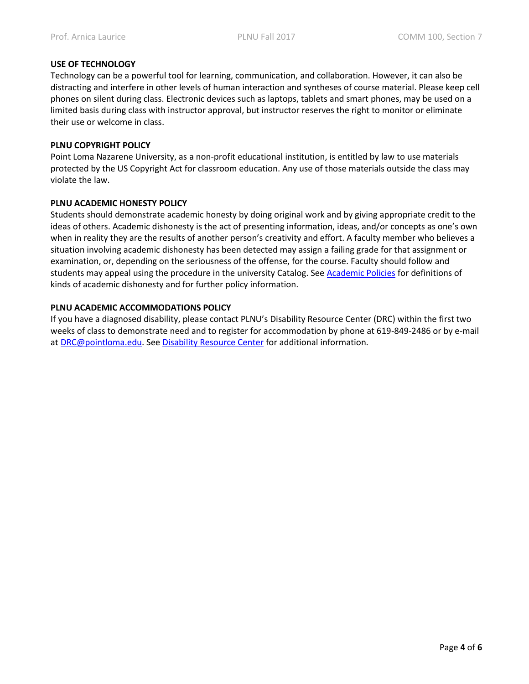#### **USE OF TECHNOLOGY**

Technology can be a powerful tool for learning, communication, and collaboration. However, it can also be distracting and interfere in other levels of human interaction and syntheses of course material. Please keep cell phones on silent during class. Electronic devices such as laptops, tablets and smart phones, may be used on a limited basis during class with instructor approval, but instructor reserves the right to monitor or eliminate their use or welcome in class.

#### **PLNU COPYRIGHT POLICY**

Point Loma Nazarene University, as a non-profit educational institution, is entitled by law to use materials protected by the US Copyright Act for classroom education. Any use of those materials outside the class may violate the law.

#### **PLNU ACADEMIC HONESTY POLICY**

Students should demonstrate academic honesty by doing original work and by giving appropriate credit to the ideas of others. Academic dishonesty is the act of presenting information, ideas, and/or concepts as one's own when in reality they are the results of another person's creativity and effort. A faculty member who believes a situation involving academic dishonesty has been detected may assign a failing grade for that assignment or examination, or, depending on the seriousness of the offense, for the course. Faculty should follow and students may appeal using the procedure in the university Catalog. See [Academic Policies](http://catalog.pointloma.edu/content.php?catoid=18&navoid=1278) for definitions of kinds of academic dishonesty and for further policy information.

## **PLNU ACADEMIC ACCOMMODATIONS POLICY**

If you have a diagnosed disability, please contact PLNU's Disability Resource Center (DRC) within the first two weeks of class to demonstrate need and to register for accommodation by phone at 619-849-2486 or by e-mail at [DRC@pointloma.edu.](mailto:DRC@pointloma.edu) See [Disability Resource Center](http://www.pointloma.edu/experience/offices/administrative-offices/academic-advising-office/disability-resource-center) for additional information.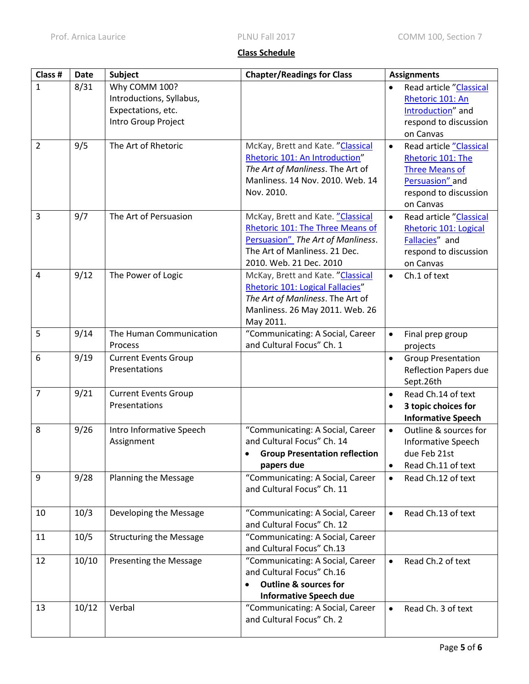## **Class Schedule**

| Class #        | <b>Date</b> | <b>Subject</b>                                                                         | <b>Chapter/Readings for Class</b>                                                                                                                                      | <b>Assignments</b>                                                                                                                          |
|----------------|-------------|----------------------------------------------------------------------------------------|------------------------------------------------------------------------------------------------------------------------------------------------------------------------|---------------------------------------------------------------------------------------------------------------------------------------------|
| $\mathbf{1}$   | 8/31        | Why COMM 100?<br>Introductions, Syllabus,<br>Expectations, etc.<br>Intro Group Project |                                                                                                                                                                        | Read article "Classical<br>$\bullet$<br>Rhetoric 101: An<br>Introduction" and<br>respond to discussion<br>on Canvas                         |
| 2              | 9/5         | The Art of Rhetoric                                                                    | McKay, Brett and Kate. "Classical<br>Rhetoric 101: An Introduction"<br>The Art of Manliness. The Art of<br>Manliness. 14 Nov. 2010. Web. 14<br>Nov. 2010.              | Read article "Classical<br>$\bullet$<br>Rhetoric 101: The<br><b>Three Means of</b><br>Persuasion" and<br>respond to discussion<br>on Canvas |
| 3              | 9/7         | The Art of Persuasion                                                                  | McKay, Brett and Kate. "Classical<br>Rhetoric 101: The Three Means of<br>Persuasion" The Art of Manliness.<br>The Art of Manliness. 21 Dec.<br>2010. Web. 21 Dec. 2010 | Read article "Classical<br>$\bullet$<br>Rhetoric 101: Logical<br>Fallacies" and<br>respond to discussion<br>on Canvas                       |
| 4              | 9/12        | The Power of Logic                                                                     | McKay, Brett and Kate. "Classical<br>Rhetoric 101: Logical Fallacies"<br>The Art of Manliness. The Art of<br>Manliness. 26 May 2011. Web. 26<br>May 2011.              | Ch.1 of text<br>$\bullet$                                                                                                                   |
| 5              | 9/14        | The Human Communication<br>Process                                                     | "Communicating: A Social, Career<br>and Cultural Focus" Ch. 1                                                                                                          | Final prep group<br>$\bullet$<br>projects                                                                                                   |
| 6              | 9/19        | <b>Current Events Group</b><br>Presentations                                           |                                                                                                                                                                        | <b>Group Presentation</b><br>$\bullet$<br><b>Reflection Papers due</b><br>Sept.26th                                                         |
| $\overline{7}$ | 9/21        | <b>Current Events Group</b><br>Presentations                                           |                                                                                                                                                                        | Read Ch.14 of text<br>$\bullet$<br>3 topic choices for<br>$\bullet$<br><b>Informative Speech</b>                                            |
| 8              | 9/26        | Intro Informative Speech<br>Assignment                                                 | "Communicating: A Social, Career<br>and Cultural Focus" Ch. 14<br><b>Group Presentation reflection</b><br>papers due                                                   | Outline & sources for<br>$\bullet$<br><b>Informative Speech</b><br>due Feb 21st<br>Read Ch.11 of text                                       |
| 9              | 9/28        | Planning the Message                                                                   | "Communicating: A Social, Career<br>and Cultural Focus" Ch. 11                                                                                                         | Read Ch.12 of text<br>$\bullet$                                                                                                             |
| 10             | 10/3        | Developing the Message                                                                 | "Communicating: A Social, Career<br>and Cultural Focus" Ch. 12                                                                                                         | Read Ch.13 of text<br>$\bullet$                                                                                                             |
| 11             | 10/5        | <b>Structuring the Message</b>                                                         | "Communicating: A Social, Career<br>and Cultural Focus" Ch.13                                                                                                          |                                                                                                                                             |
| 12             | 10/10       | Presenting the Message                                                                 | "Communicating: A Social, Career<br>and Cultural Focus" Ch.16<br><b>Outline &amp; sources for</b><br><b>Informative Speech due</b>                                     | Read Ch.2 of text<br>$\bullet$                                                                                                              |
| 13             | 10/12       | Verbal                                                                                 | "Communicating: A Social, Career<br>and Cultural Focus" Ch. 2                                                                                                          | Read Ch. 3 of text<br>$\bullet$                                                                                                             |